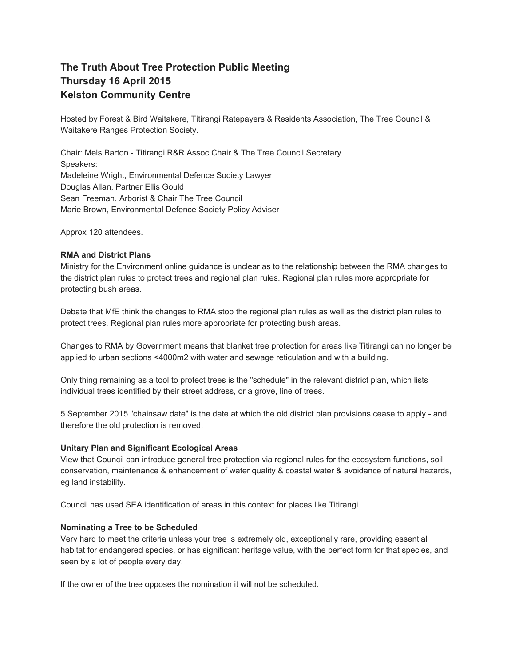# **The Truth About Tree Protection Public Meeting Thursday 16 April 2015 Kelston Community Centre**

Hosted by Forest & Bird Waitakere, Titirangi Ratepayers & Residents Association, The Tree Council & Waitakere Ranges Protection Society.

Chair: Mels Barton - Titirangi R&R Assoc Chair & The Tree Council Secretary Speakers: Madeleine Wright, Environmental Defence Society Lawyer Douglas Allan, Partner Ellis Gould Sean Freeman, Arborist & Chair The Tree Council Marie Brown, Environmental Defence Society Policy Adviser

Approx 120 attendees.

# **RMA and District Plans**

Ministry for the Environment online guidance is unclear as to the relationship between the RMA changes to the district plan rules to protect trees and regional plan rules. Regional plan rules more appropriate for protecting bush areas.

Debate that MfE think the changes to RMA stop the regional plan rules as well as the district plan rules to protect trees. Regional plan rules more appropriate for protecting bush areas.

Changes to RMA by Government means that blanket tree protection for areas like Titirangi can no longer be applied to urban sections <4000m2 with water and sewage reticulation and with a building.

Only thing remaining as a tool to protect trees is the "schedule" in the relevant district plan, which lists individual trees identified by their street address, or a grove, line of trees.

5 September 2015 "chainsaw date" is the date at which the old district plan provisions cease to apply - and therefore the old protection is removed.

### **Unitary Plan and Significant Ecological Areas**

View that Council can introduce general tree protection via regional rules for the ecosystem functions, soil conservation, maintenance & enhancement of water quality & coastal water & avoidance of natural hazards, eg land instability.

Council has used SEA identification of areas in this context for places like Titirangi.

### **Nominating a Tree to be Scheduled**

Very hard to meet the criteria unless your tree is extremely old, exceptionally rare, providing essential habitat for endangered species, or has significant heritage value, with the perfect form for that species, and seen by a lot of people every day.

If the owner of the tree opposes the nomination it will not be scheduled.